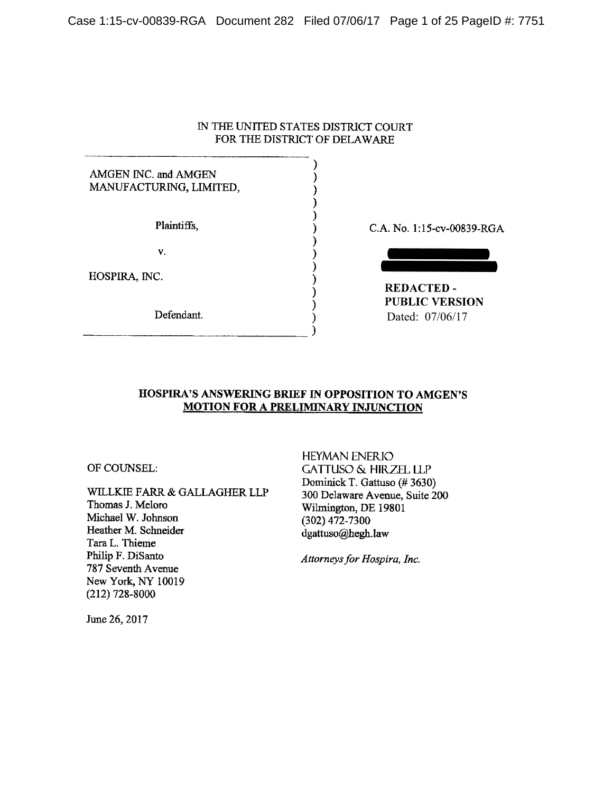## IN THE UNITED STATES DISTRICT COURT FOR THE DISTRICT OF DELAWARE

Ι

λ

## AMGEN INC. and AMGEN MANUFACTURING, LIMITED,

Plaintiffs,

V.

HOSPIRA, INC.

Defendant.

C.A. No. 1:15-cv-00839-RGA

**REDACTED-PUBLIC VERSION** Dated: 07/06/17

## HOSPIRA'S ANSWERING BRIEF IN OPPOSITION TO AMGEN'S **MOTION FOR A PRELIMINARY INJUNCTION**

OF COUNSEL:

WILLKIE FARR & GALLAGHER LLP Thomas J. Meloro Michael W. Johnson Heather M. Schneider Tara L. Thieme Philip F. DiSanto 787 Seventh Avenue New York, NY 10019  $(212)$  728-8000

**HEYMAN ENERIO GATTUSO & HIRZEL LLP** Dominick T. Gattuso (#3630) 300 Delaware Avenue, Suite 200 Wilmington, DE 19801  $(302)$  472-7300 dgattuso@hegh.law

Attorneys for Hospira, Inc.

June 26, 2017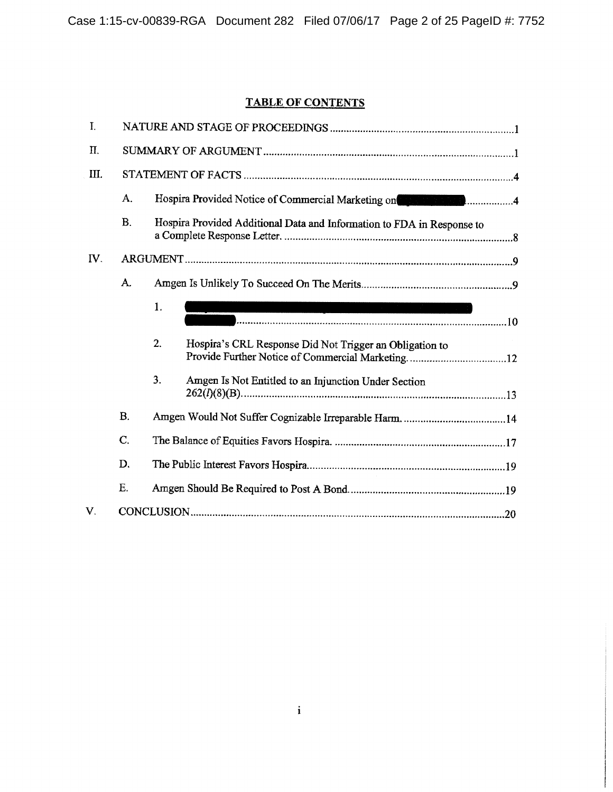# **TABLE OF CONTENTS**

| I.              |                |                                                                                                                                                                                                                                |                                                                                                                                                                                                                                 |  |  |  |
|-----------------|----------------|--------------------------------------------------------------------------------------------------------------------------------------------------------------------------------------------------------------------------------|---------------------------------------------------------------------------------------------------------------------------------------------------------------------------------------------------------------------------------|--|--|--|
| Π.              |                |                                                                                                                                                                                                                                |                                                                                                                                                                                                                                 |  |  |  |
| Ш.              |                |                                                                                                                                                                                                                                |                                                                                                                                                                                                                                 |  |  |  |
|                 | A.             | Hospira Provided Notice of Commercial Marketing on The Commercial Assembly on the Commercial Assembly of Commercial Assembly of Commercial Assembly of Commercial Assembly of Commercial Assembly of Commercial Assembly of Co |                                                                                                                                                                                                                                 |  |  |  |
|                 | <b>B.</b>      | Hospira Provided Additional Data and Information to FDA in Response to                                                                                                                                                         |                                                                                                                                                                                                                                 |  |  |  |
| $\mathbf{IV}$ . |                |                                                                                                                                                                                                                                |                                                                                                                                                                                                                                 |  |  |  |
|                 | A.             |                                                                                                                                                                                                                                |                                                                                                                                                                                                                                 |  |  |  |
|                 |                | 1.                                                                                                                                                                                                                             | 1999년 - 대한민국의 대한민국의 대한민국의 대한민국의 대한민국의 대한민국의 대한민국의 대한민국의 대한민국의 대한민국의 대한민국의 대한민국의 대한민국의 대한민국의 대한민국의 대한민국의 대한민국의<br>대한민국의 대한민국의 대한민국의 대한민국의 대한민국의 대한민국의 대한민국의 대한민국의 대한민국의 대한민국의 대한민국의 대한민국의 대한민국의 대한민국의 대한민국의 대한민국의 대한민국의 대한민국의 대한 |  |  |  |
|                 |                | 2.                                                                                                                                                                                                                             | Hospira's CRL Response Did Not Trigger an Obligation to                                                                                                                                                                         |  |  |  |
|                 |                | 3.                                                                                                                                                                                                                             | Amgen Is Not Entitled to an Injunction Under Section                                                                                                                                                                            |  |  |  |
|                 | B.             |                                                                                                                                                                                                                                |                                                                                                                                                                                                                                 |  |  |  |
|                 | $\mathbf{C}$ . |                                                                                                                                                                                                                                |                                                                                                                                                                                                                                 |  |  |  |
|                 | D.             |                                                                                                                                                                                                                                |                                                                                                                                                                                                                                 |  |  |  |
|                 | E.             |                                                                                                                                                                                                                                |                                                                                                                                                                                                                                 |  |  |  |
| V.              |                |                                                                                                                                                                                                                                |                                                                                                                                                                                                                                 |  |  |  |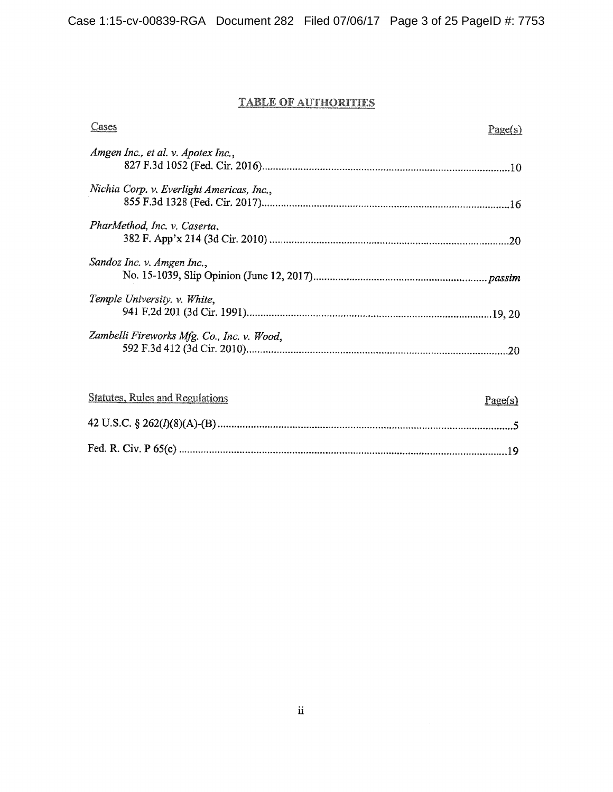# **TABLE OF AUTHORITIES**

| Cases                                      | Page(s) |
|--------------------------------------------|---------|
| Amgen Inc., et al. v. Apotex Inc.,         |         |
| Nichia Corp. v. Everlight Americas, Inc.,  |         |
| PharMethod, Inc. v. Caserta,               | .20     |
| Sandoz Inc. v. Amgen Inc.,                 |         |
| Temple University v. White,                |         |
| Zambelli Fireworks Mfg. Co., Inc. v. Wood, |         |

| Statutes, Rules and Regulations | Page(s) |
|---------------------------------|---------|
|                                 |         |
|                                 |         |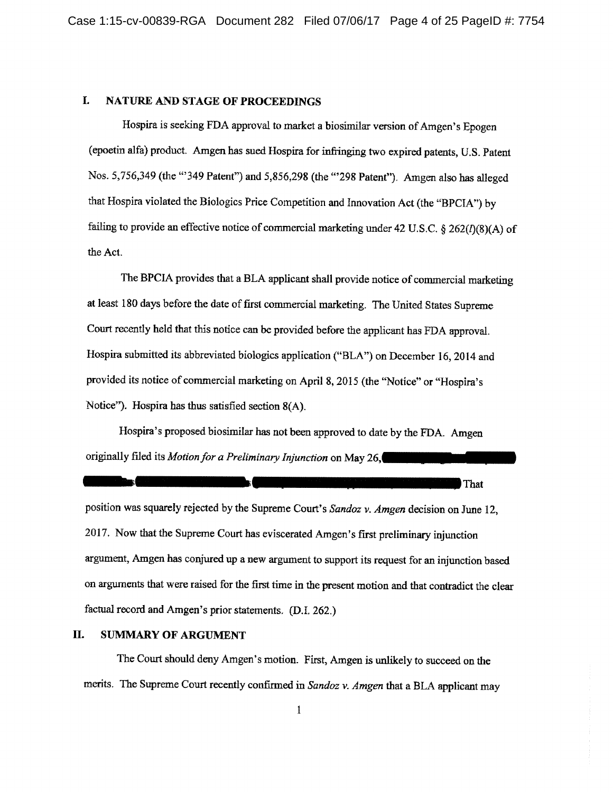#### I. **NATURE AND STAGE OF PROCEEDINGS**

Hospira is seeking FDA approval to market a biosimilar version of Amgen's Epogen (epoetin alfa) product. Amgen has sued Hospira for infringing two expired patents, U.S. Patent Nos. 5,756,349 (the "349 Patent") and 5,856,298 (the "298 Patent"). Amgen also has alleged that Hospira violated the Biologics Price Competition and Innovation Act (the "BPCIA") by failing to provide an effective notice of commercial marketing under 42 U.S.C. § 262( $I$ )(8)(A) of the Act.

The BPCIA provides that a BLA applicant shall provide notice of commercial marketing at least 180 days before the date of first commercial marketing. The United States Supreme Court recently held that this notice can be provided before the applicant has FDA approval. Hospira submitted its abbreviated biologics application ("BLA") on December 16, 2014 and provided its notice of commercial marketing on April 8, 2015 (the "Notice" or "Hospira's Notice"). Hospira has thus satisfied section  $8(A)$ .

Hospira's proposed biosimilar has not been approved to date by the FDA. Amgen originally filed its Motion for a Preliminary Injunction on May 26,

position was squarely rejected by the Supreme Court's Sandoz v. Amgen decision on June 12, 2017. Now that the Supreme Court has eviscerated Amgen's first preliminary injunction argument, Amgen has conjured up a new argument to support its request for an injunction based on arguments that were raised for the first time in the present motion and that contradict the clear factual record and Amgen's prior statements. (D.I. 262.)

That

#### Π. **SUMMARY OF ARGUMENT**

The Court should deny Amgen's motion. First, Amgen is unlikely to succeed on the merits. The Supreme Court recently confirmed in Sandoz v. Amgen that a BLA applicant may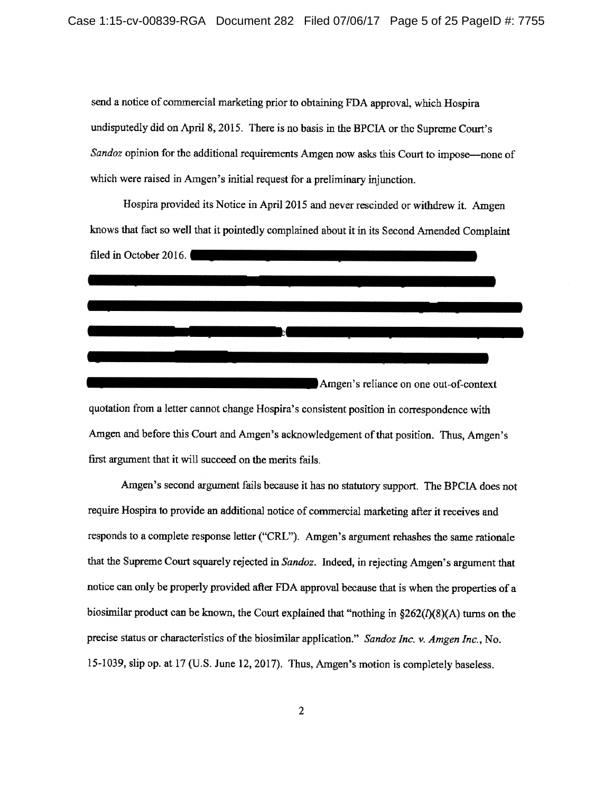send a notice of commercial marketing prior to obtaining FDA approval, which Hospira undisputedly did on April 8, 2015. There is no basis in the BPCIA or the Supreme Court's Sandoz opinion for the additional requirements Amgen now asks this Court to impose—none of which were raised in Amgen's initial request for a preliminary injunction.

Hospira provided its Notice in April 2015 and never rescinded or withdrew it. Amgen knows that fact so well that it pointedly complained about it in its Second Amended Complaint filed in October 2016. <u> a component de la component de la component de la component de la component de la component de la component de la component de la component de la component de la component de la component de la component de la component </u> Amgen's reliance on one out-of-context quotation from a letter cannot change Hospira's consistent position in correspondence with Amgen and before this Court and Amgen's acknowledgement of that position. Thus, Amgen's first argument that it will succeed on the merits fails.

Amgen's second argument fails because it has no statutory support. The BPCIA does not require Hospira to provide an additional notice of commercial marketing after it receives and responds to a complete response letter ("CRL"). Amgen's argument rehashes the same rationale that the Supreme Court squarely rejected in Sandoz. Indeed, in rejecting Amgen's argument that notice can only be properly provided after FDA approval because that is when the properties of a biosimilar product can be known, the Court explained that "nothing in  $$262(I)(8)(A)$  turns on the precise status or characteristics of the biosimilar application." Sandoz Inc. v. Amgen Inc., No. 15-1039, slip op. at 17 (U.S. June 12, 2017). Thus, Amgen's motion is completely baseless.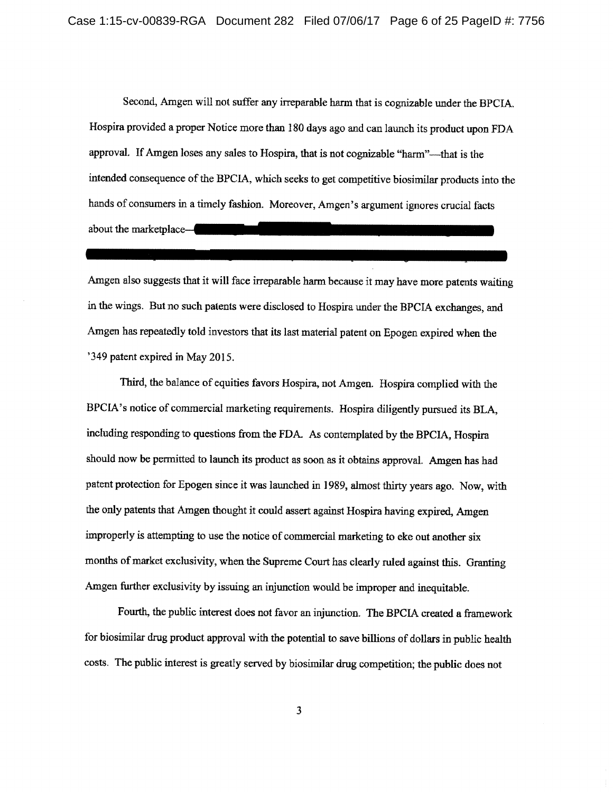Second, Amgen will not suffer any irreparable harm that is cognizable under the BPCIA. Hospira provided a proper Notice more than 180 days ago and can launch its product upon FDA approval. If Amgen loses any sales to Hospira, that is not cognizable "harm"—that is the intended consequence of the BPCIA, which seeks to get competitive biosimilar products into the hands of consumers in a timely fashion. Moreover, Amgen's argument ignores crucial facts about the marketplace—

Amgen also suggests that it will face irreparable harm because it may have more patents waiting in the wings. But no such patents were disclosed to Hospira under the BPCIA exchanges, and Amgen has repeatedly told investors that its last material patent on Epogen expired when the '349 patent expired in May 2015.

Third, the balance of equities favors Hospira, not Amgen. Hospira complied with the BPCIA's notice of commercial marketing requirements. Hospira diligently pursued its BLA, including responding to questions from the FDA. As contemplated by the BPCIA, Hospira should now be permitted to launch its product as soon as it obtains approval. Amgen has had patent protection for Epogen since it was launched in 1989, almost thirty years ago. Now, with the only patents that Amgen thought it could assert against Hospira having expired, Amgen improperly is attempting to use the notice of commercial marketing to eke out another six months of market exclusivity, when the Supreme Court has clearly ruled against this. Granting Amgen further exclusivity by issuing an injunction would be improper and inequitable.

Fourth, the public interest does not favor an injunction. The BPCIA created a framework for biosimilar drug product approval with the potential to save billions of dollars in public health costs. The public interest is greatly served by biosimilar drug competition; the public does not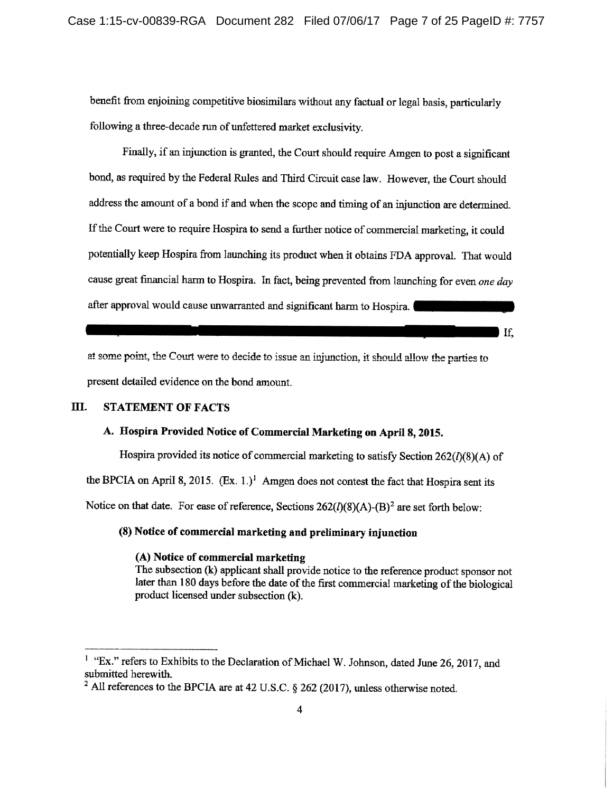benefit from enjoining competitive biosimilars without any factual or legal basis, particularly following a three-decade run of unfettered market exclusivity.

Finally, if an injunction is granted, the Court should require Amgen to post a significant bond, as required by the Federal Rules and Third Circuit case law. However, the Court should address the amount of a bond if and when the scope and timing of an injunction are determined. If the Court were to require Hospira to send a further notice of commercial marketing, it could potentially keep Hospira from launching its product when it obtains FDA approval. That would cause great financial harm to Hospira. In fact, being prevented from launching for even one day after approval would cause unwarranted and significant harm to Hospira.

H.

at some point, the Court were to decide to issue an injunction, it should allow the parties to present detailed evidence on the bond amount.

#### III. **STATEMENT OF FACTS**

### A. Hospira Provided Notice of Commercial Marketing on April 8, 2015.

Hospira provided its notice of commercial marketing to satisfy Section  $262(I)(8)(A)$  of the BPCIA on April 8, 2015.  $(Ex. 1)$ <sup>1</sup> Amgen does not contest the fact that Hospira sent its Notice on that date. For ease of reference, Sections  $262(I)(8)(A)$ -(B)<sup>2</sup> are set forth below:

## (8) Notice of commercial marketing and preliminary injunction

## (A) Notice of commercial marketing

The subsection (k) applicant shall provide notice to the reference product sponsor not later than 180 days before the date of the first commercial marketing of the biological product licensed under subsection (k).

<sup>&</sup>lt;sup>1</sup> "Ex." refers to Exhibits to the Declaration of Michael W. Johnson, dated June 26, 2017, and submitted herewith.

<sup>&</sup>lt;sup>2</sup> All references to the BPCIA are at 42 U.S.C.  $\S$  262 (2017), unless otherwise noted.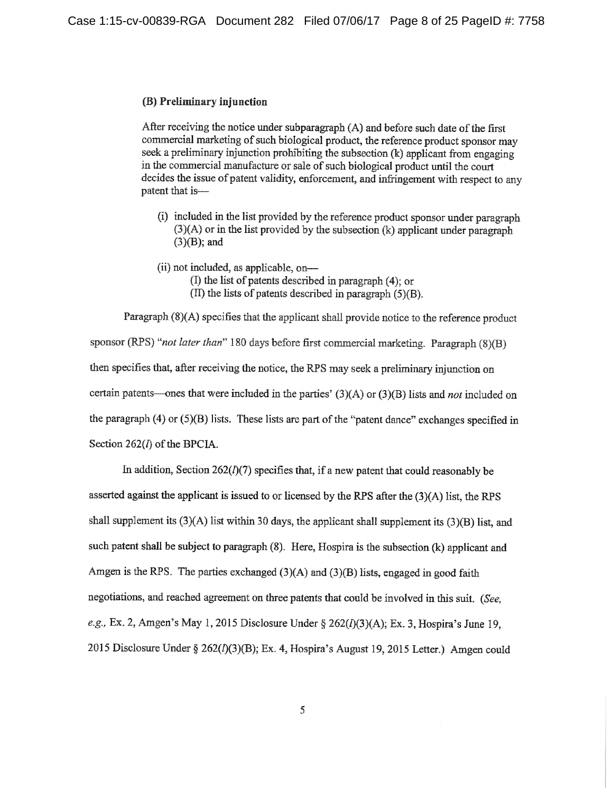### (B) Preliminary injunction

After receiving the notice under subparagraph (A) and before such date of the first commercial marketing of such biological product, the reference product sponsor may seek a preliminary injunction prohibiting the subsection (k) applicant from engaging in the commercial manufacture or sale of such biological product until the court decides the issue of patent validity, enforcement, and infringement with respect to any patent that is-

- (i) included in the list provided by the reference product sponsor under paragraph  $(3)(A)$  or in the list provided by the subsection  $(k)$  applicant under paragraph  $(3)(B)$ ; and
- (ii) not included, as applicable, on-
	- (I) the list of patents described in paragraph (4); or
	- $(\Pi)$  the lists of patents described in paragraph  $(5)(B)$ .

Paragraph (8)(A) specifies that the applicant shall provide notice to the reference product sponsor (RPS) "not later than" 180 days before first commercial marketing. Paragraph (8)(B) then specifies that, after receiving the notice, the RPS may seek a preliminary injunction on certain patents—ones that were included in the parties'  $(3)(A)$  or  $(3)(B)$  lists and *not* included on the paragraph  $(4)$  or  $(5)(B)$  lists. These lists are part of the "patent dance" exchanges specified in Section  $262(l)$  of the BPCIA.

In addition, Section  $262(l)(7)$  specifies that, if a new patent that could reasonably be asserted against the applicant is issued to or licensed by the RPS after the (3)(A) list, the RPS shall supplement its  $(3)(A)$  list within 30 days, the applicant shall supplement its  $(3)(B)$  list, and such patent shall be subject to paragraph (8). Here, Hospira is the subsection (k) applicant and Amgen is the RPS. The parties exchanged  $(3)(A)$  and  $(3)(B)$  lists, engaged in good faith negotiations, and reached agreement on three patents that could be involved in this suit. (See, e.g., Ex. 2, Amgen's May 1, 2015 Disclosure Under § 262(l)(3)(A); Ex. 3, Hospira's June 19, 2015 Disclosure Under § 262(I)(3)(B); Ex. 4, Hospira's August 19, 2015 Letter.) Amgen could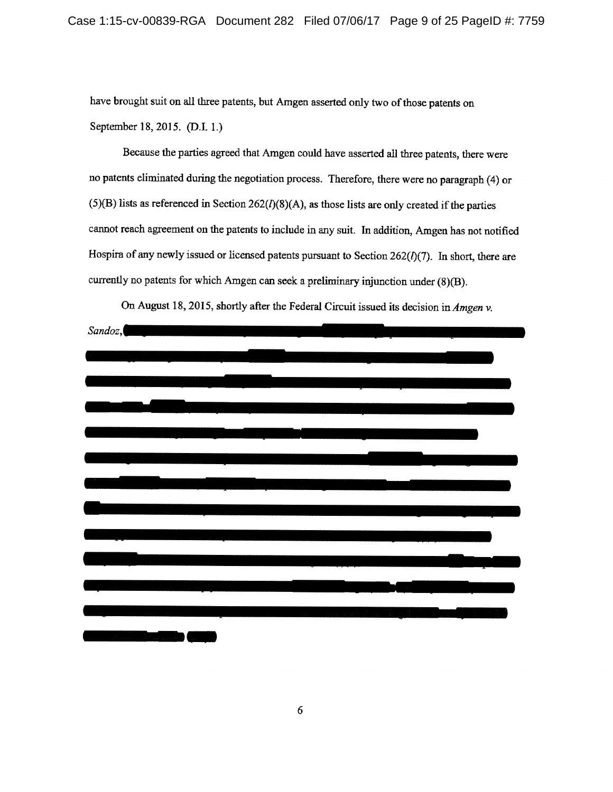have brought suit on all three patents, but Amgen asserted only two of those patents on September 18, 2015. (D.I. 1.)

Because the parties agreed that Amgen could have asserted all three patents, there were no patents eliminated during the negotiation process. Therefore, there were no paragraph (4) or  $(5)(B)$  lists as referenced in Section 262( $I$ )(8)(A), as those lists are only created if the parties cannot reach agreement on the patents to include in any suit. In addition, Amgen has not notified Hospira of any newly issued or licensed patents pursuant to Section  $262(l)(7)$ . In short, there are currently no patents for which Amgen can seek a preliminary injunction under  $(8)(B)$ .



On August 18, 2015, shortly after the Federal Circuit issued its decision in Amgen v.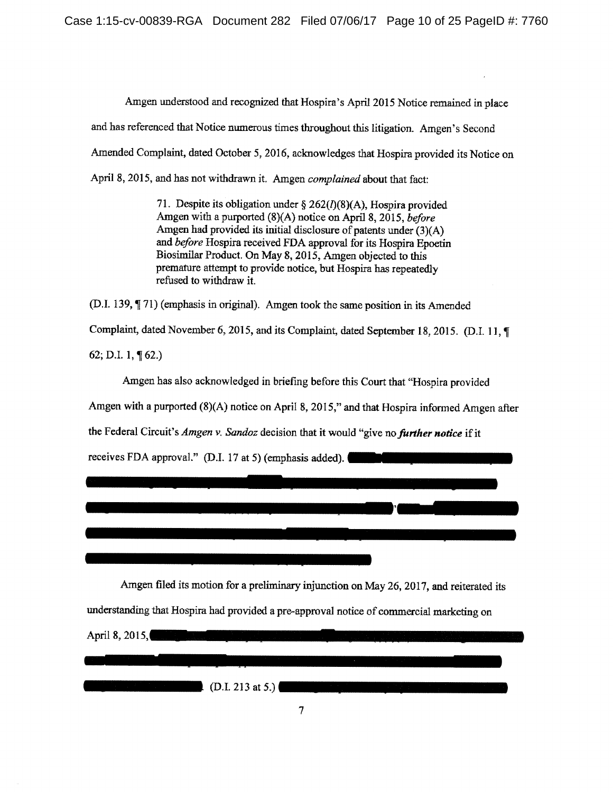Amgen understood and recognized that Hospira's April 2015 Notice remained in place and has referenced that Notice numerous times throughout this litigation. Amgen's Second Amended Complaint, dated October 5, 2016, acknowledges that Hospira provided its Notice on April 8, 2015, and has not withdrawn it. Amgen complained about that fact:

> 71. Despite its obligation under § 262( $I$ )(8)(A), Hospira provided Amgen with a purported (8)(A) notice on April 8, 2015, before Amgen had provided its initial disclosure of patents under  $(3)(A)$ and before Hospira received FDA approval for its Hospira Epoetin Biosimilar Product. On May 8, 2015, Amgen objected to this premature attempt to provide notice, but Hospira has repeatedly refused to withdraw it.

(D.I. 139, ¶ 71) (emphasis in original). Amgen took the same position in its Amended

Complaint, dated November 6, 2015, and its Complaint, dated September 18, 2015. (D.I. 11, ¶

62; D.I. 1,  $\P$  62.)

Amgen has also acknowledged in briefing before this Court that "Hospira provided

Amgen with a purported (8)(A) notice on April 8, 2015," and that Hospira informed Amgen after

the Federal Circuit's Amgen v. Sandoz decision that it would "give no further notice if it

receives FDA approval." (D.I. 17 at 5) (emphasis added).

Amgen filed its motion for a preliminary injunction on May 26, 2017, and reiterated its

understanding that Hospira had provided a pre-approval notice of commercial marketing on

April 8, 2015,  $(D.I. 213 at 5.)$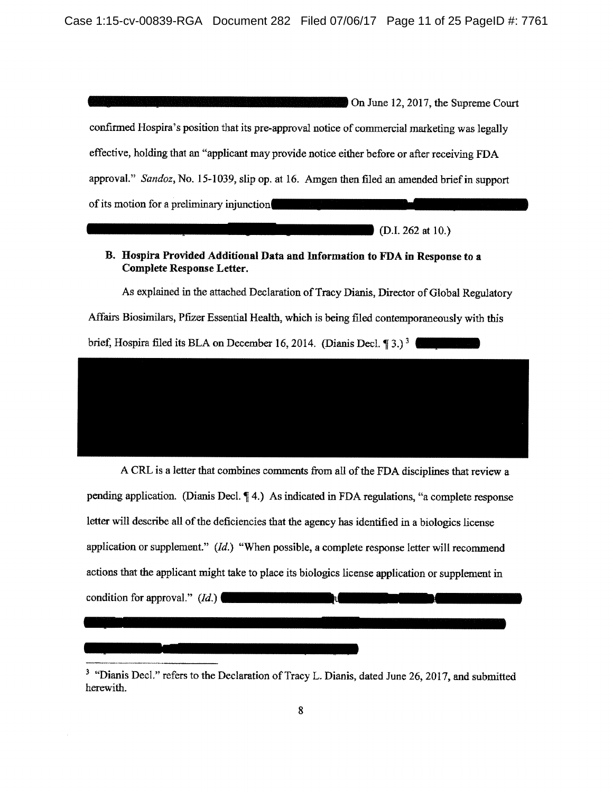On June 12, 2017, the Supreme Court confirmed Hospira's position that its pre-approval notice of commercial marketing was legally effective, holding that an "applicant may provide notice either before or after receiving FDA approval." Sandoz, No. 15-1039, slip op. at 16. Amgen then filed an amended brief in support of its motion for a preliminary injunction

 $(D.I. 262 at 10.)$ 

## B. Hospira Provided Additional Data and Information to FDA in Response to a **Complete Response Letter.**

As explained in the attached Declaration of Tracy Dianis, Director of Global Regulatory

Affairs Biosimilars, Pfizer Essential Health, which is being filed contemporaneously with this

brief, Hospira filed its BLA on December 16, 2014. (Dianis Decl.  $\P$ 3.)<sup>3</sup>



A CRL is a letter that combines comments from all of the FDA disciplines that review a pending application. (Dianis Decl. ¶ 4.) As indicated in FDA regulations, "a complete response letter will describe all of the deficiencies that the agency has identified in a biologics license application or supplement."  $(Id.)$  "When possible, a complete response letter will recommend actions that the applicant might take to place its biologics license application or supplement in condition for approval."  $(Id.)$ **II** 

<sup>&</sup>lt;sup>3</sup> "Dianis Decl." refers to the Declaration of Tracy L. Dianis, dated June 26, 2017, and submitted herewith.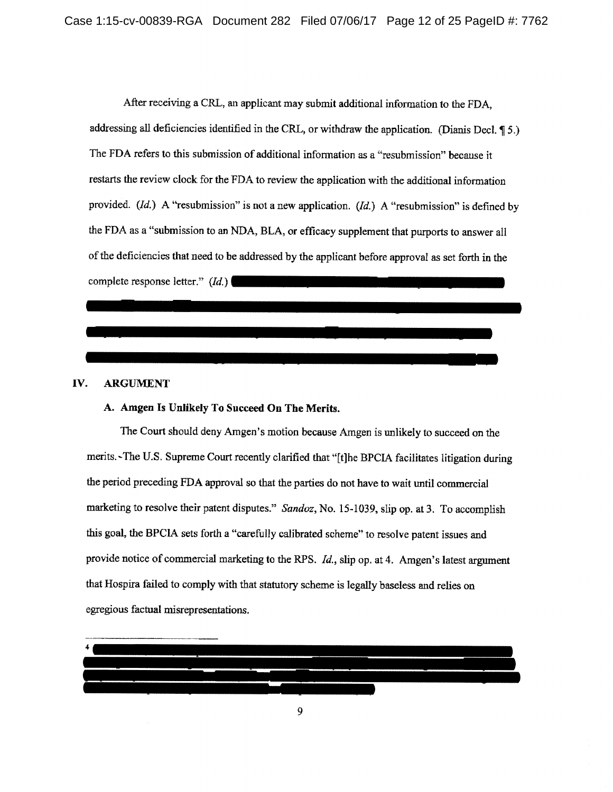After receiving a CRL, an applicant may submit additional information to the FDA. addressing all deficiencies identified in the CRL, or withdraw the application. (Dianis Decl. 15.) The FDA refers to this submission of additional information as a "resubmission" because it restarts the review clock for the FDA to review the application with the additional information provided. (Id.) A "resubmission" is not a new application. (Id.) A "resubmission" is defined by the FDA as a "submission to an NDA, BLA, or efficacy supplement that purports to answer all of the deficiencies that need to be addressed by the applicant before approval as set forth in the complete response letter."  $(Id.)$ 

#### IV. **ARGUMENT**

## A. Amgen Is Unlikely To Succeed On The Merits.

The Court should deny Amgen's motion because Amgen is unlikely to succeed on the merits.~The U.S. Supreme Court recently clarified that "[t]he BPCIA facilitates litigation during the period preceding FDA approval so that the parties do not have to wait until commercial marketing to resolve their patent disputes." Sandoz, No. 15-1039, slip op. at 3. To accomplish this goal, the BPCIA sets forth a "carefully calibrated scheme" to resolve patent issues and provide notice of commercial marketing to the RPS. Id., slip op. at 4. Amgen's latest argument that Hospira failed to comply with that statutory scheme is legally baseless and relies on egregious factual misrepresentations.

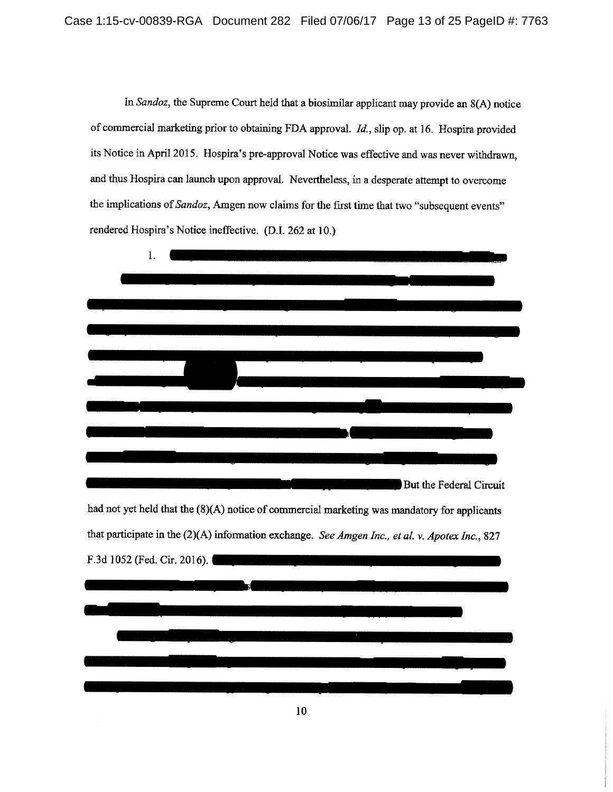In Sandoz, the Supreme Court held that a biosimilar applicant may provide an 8(A) notice of commercial marketing prior to obtaining FDA approval. Id., slip op. at 16. Hospira provided its Notice in April 2015. Hospira's pre-approval Notice was effective and was never withdrawn, and thus Hospira can launch upon approval. Nevertheless, in a desperate attempt to overcome the implications of Sandoz, Amgen now claims for the first time that two "subsequent events" rendered Hospira's Notice ineffective. (D.I. 262 at 10.)

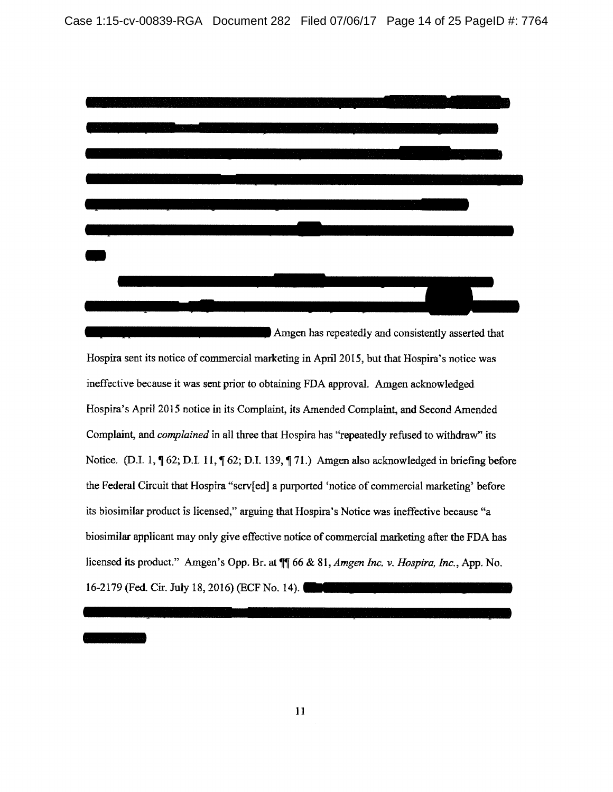

Amgen has repeatedly and consistently asserted that Hospira sent its notice of commercial marketing in April 2015, but that Hospira's notice was ineffective because it was sent prior to obtaining FDA approval. Amgen acknowledged Hospira's April 2015 notice in its Complaint, its Amended Complaint, and Second Amended Complaint, and *complained* in all three that Hospira has "repeatedly refused to withdraw" its Notice. (D.I. 1,  $\P$  62; D.I. 11,  $\P$  62; D.I. 139,  $\P$  71.) Amgen also acknowledged in briefing before the Federal Circuit that Hospira "serv[ed] a purported 'notice of commercial marketing' before its biosimilar product is licensed," arguing that Hospira's Notice was ineffective because "a biosimilar applicant may only give effective notice of commercial marketing after the FDA has licensed its product." Amgen's Opp. Br. at  $\P$  66 & 81, Amgen Inc. v. Hospira, Inc., App. No. 16-2179 (Fed. Cir. July 18, 2016) (ECF No. 14).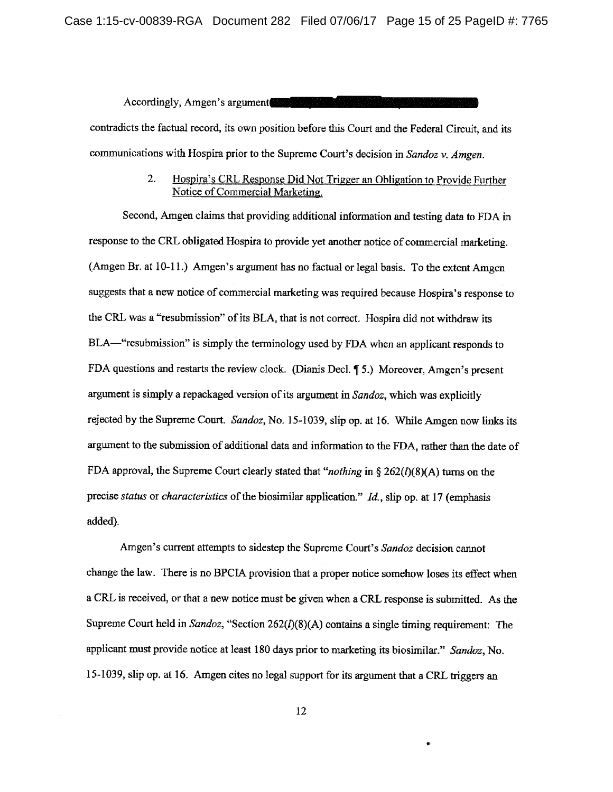Accordingly, Amgen's argument contradicts the factual record, its own position before this Court and the Federal Circuit, and its communications with Hospira prior to the Supreme Court's decision in Sandoz y. Amgen.

### $2.$ Hospira's CRL Response Did Not Trigger an Obligation to Provide Further Notice of Commercial Marketing.

Second, Amgen claims that providing additional information and testing data to FDA in response to the CRL obligated Hospira to provide yet another notice of commercial marketing. (Amgen Br. at 10-11.) Amgen's argument has no factual or legal basis. To the extent Amgen suggests that a new notice of commercial marketing was required because Hospira's response to the CRL was a "resubmission" of its BLA, that is not correct. Hospira did not withdraw its BLA—"resubmission" is simply the terminology used by FDA when an applicant responds to FDA questions and restarts the review clock. (Dianis Decl. 15.) Moreover, Amgen's present argument is simply a repackaged version of its argument in Sandoz, which was explicitly rejected by the Supreme Court. Sandoz, No. 15-1039, slip op. at 16. While Amgen now links its argument to the submission of additional data and information to the FDA, rather than the date of FDA approval, the Supreme Court clearly stated that "nothing in §  $262(I)(8)(A)$  turns on the precise status or characteristics of the biosimilar application." Id., slip op. at 17 (emphasis added).

Amgen's current attempts to sidestep the Supreme Court's Sandoz decision cannot change the law. There is no BPCIA provision that a proper notice somehow loses its effect when a CRL is received, or that a new notice must be given when a CRL response is submitted. As the Supreme Court held in Sandoz, "Section 262( $I$ )(8)(A) contains a single timing requirement: The applicant must provide notice at least 180 days prior to marketing its biosimilar." Sandoz, No. 15-1039, slip op. at 16. Amgen cites no legal support for its argument that a CRL triggers an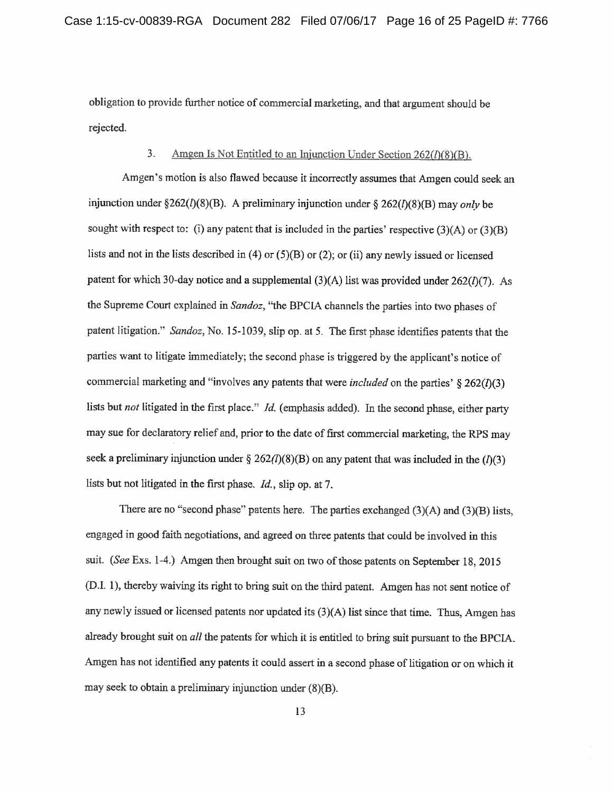obligation to provide further notice of commercial marketing, and that argument should be rejected.

#### $\overline{3}$ . Amgen Is Not Entitled to an Injunction Under Section  $262(h(8)(B))$ .

Amgen's motion is also flawed because it incorrectly assumes that Amgen could seek an injunction under §262(l)(8)(B). A preliminary injunction under § 262(l)(8)(B) may only be sought with respect to: (i) any patent that is included in the parties' respective  $(3)(A)$  or  $(3)(B)$ lists and not in the lists described in (4) or (5)(B) or (2); or (ii) any newly issued or licensed patent for which 30-day notice and a supplemental  $(3)(A)$  list was provided under  $262(I)(7)$ . As the Supreme Court explained in Sandoz, "the BPCIA channels the parties into two phases of patent litigation." Sandoz, No. 15-1039, slip op. at 5. The first phase identifies patents that the parties want to litigate immediately; the second phase is triggered by the applicant's notice of commercial marketing and "involves any patents that were *included* on the parties'  $\S 262(1)(3)$ lists but not litigated in the first place." Id. (emphasis added). In the second phase, either party may sue for declaratory relief and, prior to the date of first commercial marketing, the RPS may seek a preliminary injunction under § 262(l)(8)(B) on any patent that was included in the (l)(3) lists but not litigated in the first phase. Id., slip op. at 7.

There are no "second phase" patents here. The parties exchanged  $(3)(A)$  and  $(3)(B)$  lists, engaged in good faith negotiations, and agreed on three patents that could be involved in this suit. (See Exs. 1-4.) Amgen then brought suit on two of those patents on September 18, 2015 (D.I. 1), thereby waiving its right to bring suit on the third patent. Amgen has not sent notice of any newly issued or licensed patents nor updated its (3)(A) list since that time. Thus, Amgen has already brought suit on *all* the patents for which it is entitled to bring suit pursuant to the BPCIA. Amgen has not identified any patents it could assert in a second phase of litigation or on which it may seek to obtain a preliminary injunction under  $(8)(B)$ .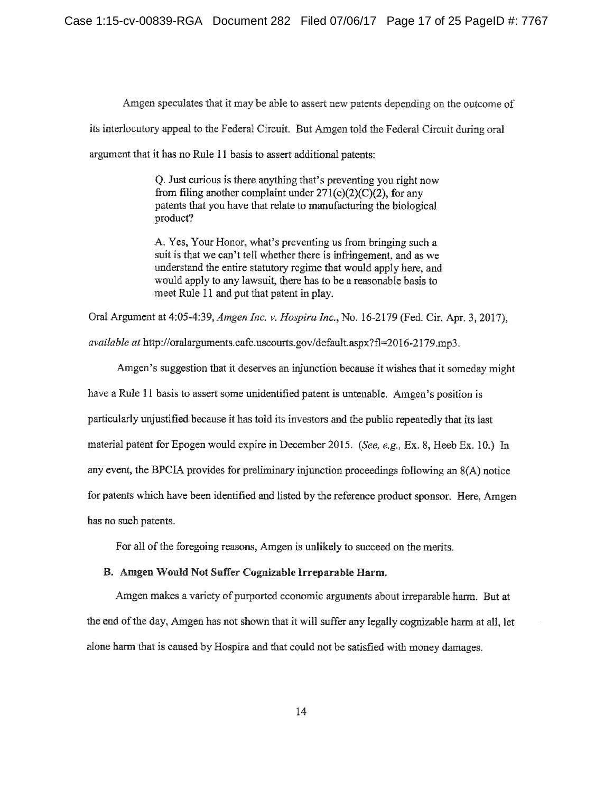Amgen speculates that it may be able to assert new patents depending on the outcome of its interlocutory appeal to the Federal Circuit. But Amgen told the Federal Circuit during oral argument that it has no Rule 11 basis to assert additional patents:

> Q. Just curious is there anything that's preventing you right now from filing another complaint under  $271(e)(2)(C)(2)$ , for any patents that you have that relate to manufacturing the biological product?

> A. Yes, Your Honor, what's preventing us from bringing such a suit is that we can't tell whether there is infringement, and as we understand the entire statutory regime that would apply here, and would apply to any lawsuit, there has to be a reasonable basis to meet Rule 11 and put that patent in play.

Oral Argument at 4:05-4:39, Amgen Inc. v. Hospira Inc., No. 16-2179 (Fed. Cir. Apr. 3, 2017),

*available at http://oralarguments.cafc.uscourts.gov/default.aspx?fl=2016-2179.mp3.* 

Amgen's suggestion that it deserves an injunction because it wishes that it someday might have a Rule 11 basis to assert some unidentified patent is untenable. Amgen's position is particularly unjustified because it has told its investors and the public repeatedly that its last material patent for Epogen would expire in December 2015. (See, e.g., Ex. 8, Heeb Ex. 10.) In any event, the BPCIA provides for preliminary injunction proceedings following an 8(A) notice for patents which have been identified and listed by the reference product sponsor. Here, Amgen has no such patents.

For all of the foregoing reasons, Amgen is unlikely to succeed on the merits.

### B. Amgen Would Not Suffer Cognizable Irreparable Harm.

Amgen makes a variety of purported economic arguments about irreparable harm. But at the end of the day, Amgen has not shown that it will suffer any legally cognizable harm at all, let alone harm that is caused by Hospira and that could not be satisfied with money damages.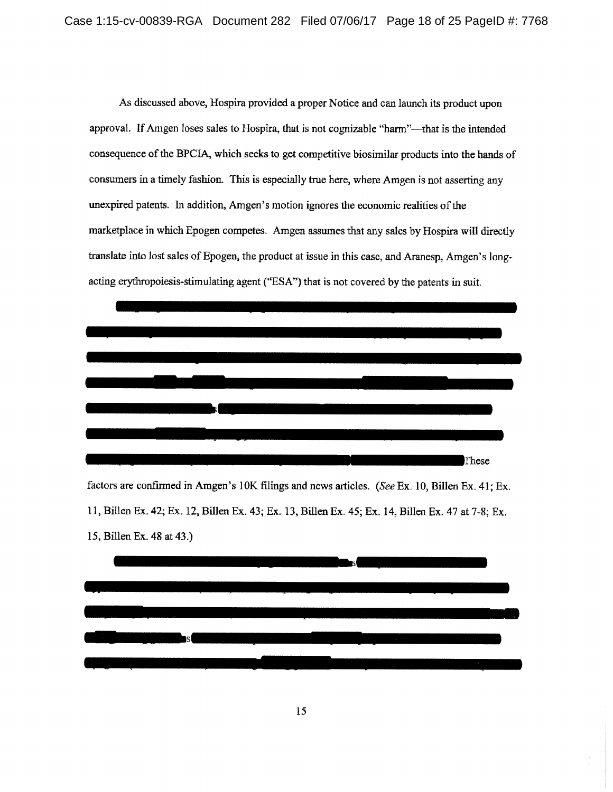As discussed above, Hospira provided a proper Notice and can launch its product upon approval. If Amgen loses sales to Hospira, that is not cognizable "harm"—that is the intended consequence of the BPCIA, which seeks to get competitive biosimilar products into the hands of consumers in a timely fashion. This is especially true here, where Amgen is not asserting any unexpired patents. In addition, Amgen's motion ignores the economic realities of the marketplace in which Epogen competes. Amgen assumes that any sales by Hospira will directly translate into lost sales of Epogen, the product at issue in this case, and Aranesp, Amgen's longacting erythropoiesis-stimulating agent ("ESA") that is not covered by the patents in suit.



factors are confirmed in Amgen's 10K filings and news articles. (See Ex. 10, Billen Ex. 41; Ex. 11, Billen Ex. 42; Ex. 12, Billen Ex. 43; Ex. 13, Billen Ex. 45; Ex. 14, Billen Ex. 47 at 7-8; Ex. 15, Billen Ex. 48 at 43.)

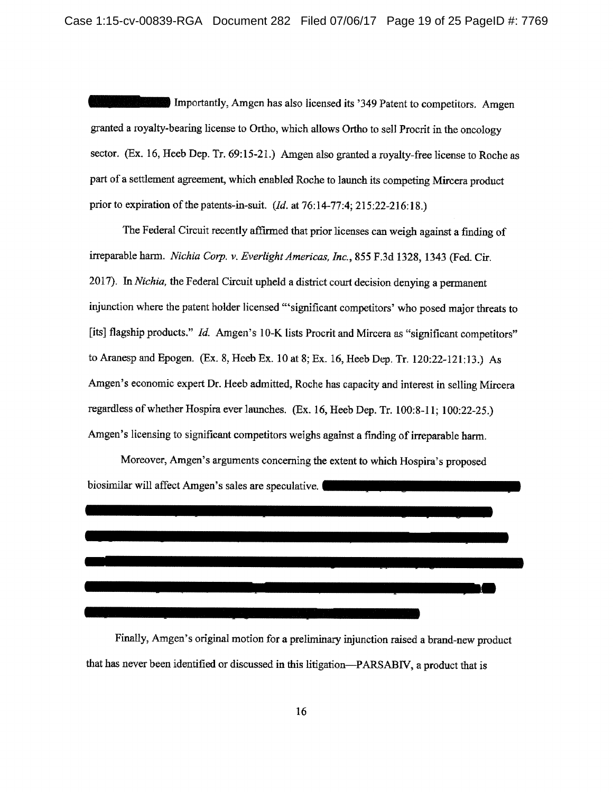Importantly, Amgen has also licensed its '349 Patent to competitors. Amgen granted a royalty-bearing license to Ortho, which allows Ortho to sell Procrit in the oncology sector. (Ex. 16, Heeb Dep. Tr. 69:15-21.) Amgen also granted a royalty-free license to Roche as part of a settlement agreement, which enabled Roche to launch its competing Mircera product prior to expiration of the patents-in-suit.  $(Id.$  at 76:14-77:4; 215:22-216:18.)

The Federal Circuit recently affirmed that prior licenses can weigh against a finding of irreparable harm. Nichia Corp. v. Everlight Americas, Inc., 855 F.3d 1328, 1343 (Fed. Cir. 2017). In Nichia, the Federal Circuit upheld a district court decision denying a permanent injunction where the patent holder licensed "significant competitors' who posed major threats to [its] flagship products." Id. Amgen's 10-K lists Procrit and Mircera as "significant competitors" to Aranesp and Epogen. (Ex. 8, Heeb Ex. 10 at 8; Ex. 16, Heeb Dep. Tr. 120:22-121:13.) As Amgen's economic expert Dr. Heeb admitted, Roche has capacity and interest in selling Mircera regardless of whether Hospira ever launches. (Ex. 16, Heeb Dep. Tr. 100:8-11; 100:22-25.) Amgen's licensing to significant competitors weighs against a finding of irreparable harm.

Moreover, Amgen's arguments concerning the extent to which Hospira's proposed biosimilar will affect Amgen's sales are speculative.



Finally, Amgen's original motion for a preliminary injunction raised a brand-new product that has never been identified or discussed in this litigation—PARSABIV, a product that is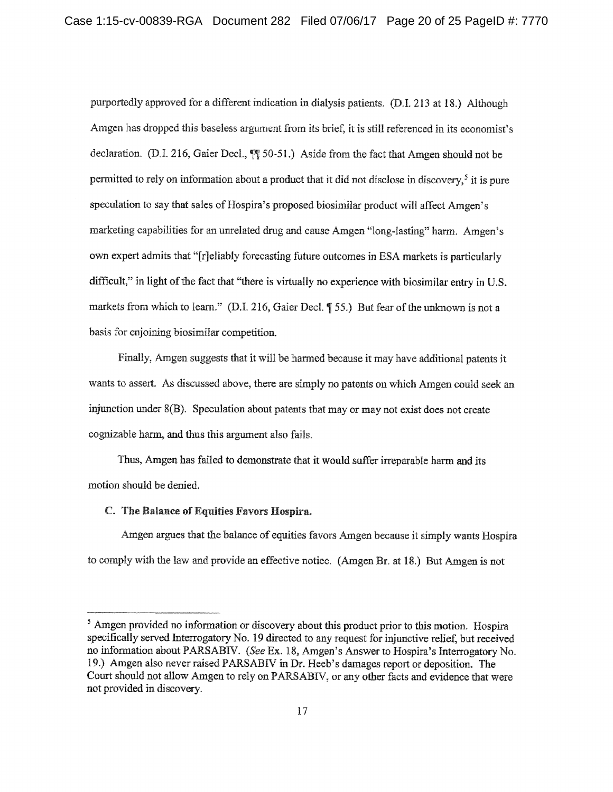purportedly approved for a different indication in dialysis patients. (D.I. 213 at 18.) Although Amgen has dropped this baseless argument from its brief, it is still referenced in its economist's declaration. (D.I. 216, Gaier Decl., [9] 50-51.) Aside from the fact that Amgen should not be permitted to rely on information about a product that it did not disclose in discovery.<sup>5</sup> it is pure speculation to say that sales of Hospira's proposed biosimilar product will affect Amgen's marketing capabilities for an unrelated drug and cause Amgen "long-lasting" harm. Amgen's own expert admits that "[r]eliably forecasting future outcomes in ESA markets is particularly difficult," in light of the fact that "there is virtually no experience with biosimilar entry in U.S. markets from which to learn." (D.I. 216, Gaier Decl. [55.] But fear of the unknown is not a basis for enjoining biosimilar competition.

Finally, Amgen suggests that it will be harmed because it may have additional patents it wants to assert. As discussed above, there are simply no patents on which Amgen could seek an injunction under 8(B). Speculation about patents that may or may not exist does not create cognizable harm, and thus this argument also fails.

Thus, Amgen has failed to demonstrate that it would suffer irreparable harm and its motion should be denied.

### C. The Balance of Equities Favors Hospira.

Amgen argues that the balance of equities favors Amgen because it simply wants Hospira to comply with the law and provide an effective notice. (Amgen Br. at 18.) But Amgen is not

<sup>&</sup>lt;sup>5</sup> Amgen provided no information or discovery about this product prior to this motion. Hospira specifically served Interrogatory No. 19 directed to any request for injunctive relief, but received no information about PARSABIV. (See Ex. 18, Amgen's Answer to Hospira's Interrogatory No. 19.) Amgen also never raised PARSABIV in Dr. Heeb's damages report or deposition. The Court should not allow Amgen to rely on PARSABIV, or any other facts and evidence that were not provided in discovery.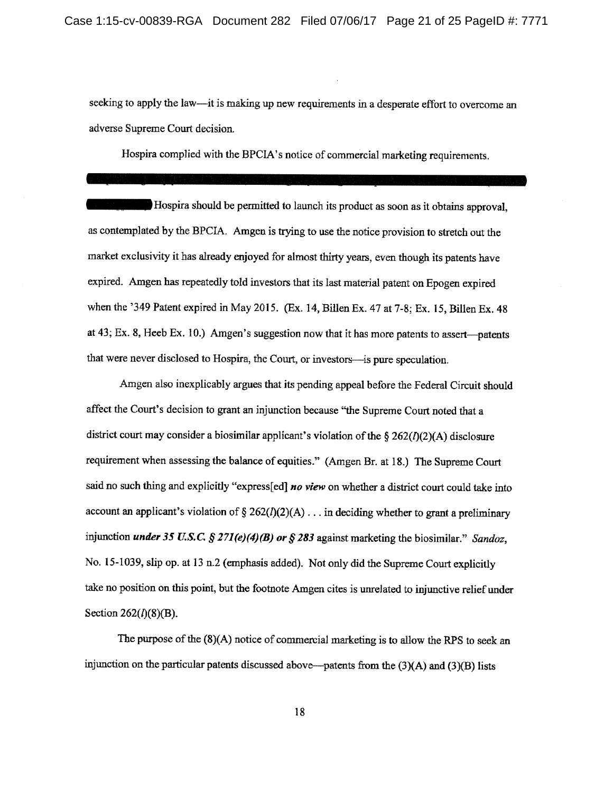seeking to apply the law—it is making up new requirements in a desperate effort to overcome an adverse Supreme Court decision.

Hospira complied with the BPCIA's notice of commercial marketing requirements.

Hospira should be permitted to launch its product as soon as it obtains approval, as contemplated by the BPCIA. Amgen is trying to use the notice provision to stretch out the market exclusivity it has already enjoyed for almost thirty years, even though its patents have expired. Amgen has repeatedly told investors that its last material patent on Epogen expired when the '349 Patent expired in May 2015. (Ex. 14, Billen Ex. 47 at 7-8; Ex. 15, Billen Ex. 48 at 43; Ex. 8, Heeb Ex. 10.) Amgen's suggestion now that it has more patents to assert—patents that were never disclosed to Hospira, the Court, or investors-is pure speculation.

Amgen also inexplicably argues that its pending appeal before the Federal Circuit should affect the Court's decision to grant an injunction because "the Supreme Court noted that a district court may consider a biosimilar applicant's violation of the §  $262(I)(2)(A)$  disclosure requirement when assessing the balance of equities." (Amgen Br. at 18.) The Supreme Court said no such thing and explicitly "express[ed] no view on whether a district court could take into account an applicant's violation of  $\S 262(l)(2)(A) \dots$  in deciding whether to grant a preliminary injunction *under* 35 U.S.C. § 271(e)(4)(B) or § 283 against marketing the biosimilar." Sandoz, No. 15-1039, slip op. at 13 n.2 (emphasis added). Not only did the Supreme Court explicitly take no position on this point, but the footnote Amgen cites is unrelated to injunctive relief under Section  $262(l)(8)(B)$ .

The purpose of the  $(8)(A)$  notice of commercial marketing is to allow the RPS to seek an injunction on the particular patents discussed above—patents from the  $(3)(A)$  and  $(3)(B)$  lists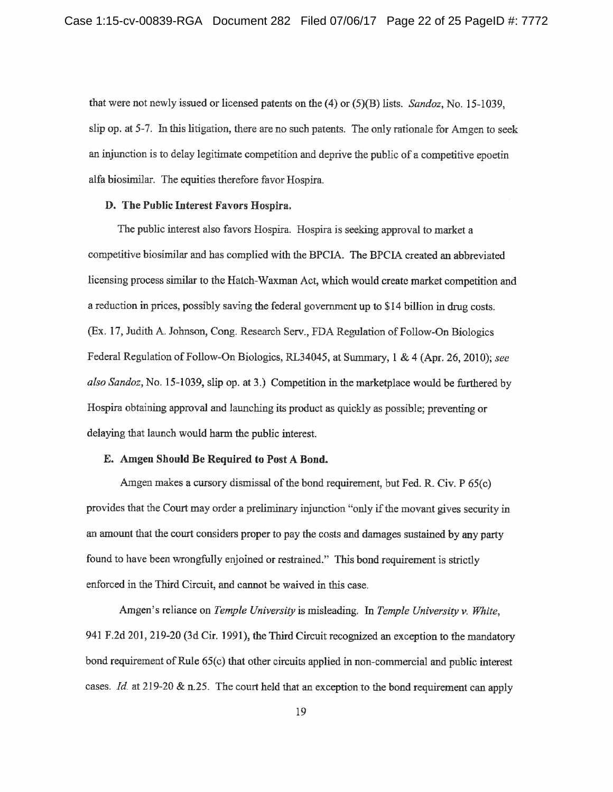that were not newly issued or licensed patents on the  $(4)$  or  $(5)(B)$  lists. Sandoz, No. 15-1039, slip op. at 5-7. In this litigation, there are no such patents. The only rationale for Amgen to seek an injunction is to delay legitimate competition and deprive the public of a competitive epoetin alfa biosimilar. The equities therefore favor Hospira.

### D. The Public Interest Favors Hospira.

The public interest also favors Hospira. Hospira is seeking approval to market a competitive biosimilar and has complied with the BPCIA. The BPCIA created an abbreviated licensing process similar to the Hatch-Waxman Act, which would create market competition and a reduction in prices, possibly saving the federal government up to \$14 billion in drug costs. (Ex. 17, Judith A. Johnson, Cong. Research Serv., FDA Regulation of Follow-On Biologics Federal Regulation of Follow-On Biologics, RL34045, at Summary, 1 & 4 (Apr. 26, 2010); see also Sandoz, No. 15-1039, slip op. at 3.) Competition in the marketplace would be furthered by Hospira obtaining approval and launching its product as quickly as possible; preventing or delaying that launch would harm the public interest.

## E. Amgen Should Be Required to Post A Bond.

Amgen makes a cursory dismissal of the bond requirement, but Fed. R. Civ. P 65(c) provides that the Court may order a preliminary injunction "only if the movant gives security in an amount that the court considers proper to pay the costs and damages sustained by any party found to have been wrongfully enjoined or restrained." This bond requirement is strictly enforced in the Third Circuit, and cannot be waived in this case.

Amgen's reliance on Temple University is misleading. In Temple University v. White, 941 F.2d 201, 219-20 (3d Cir. 1991), the Third Circuit recognized an exception to the mandatory bond requirement of Rule 65(c) that other circuits applied in non-commercial and public interest cases. Id. at 219-20 & n.25. The court held that an exception to the bond requirement can apply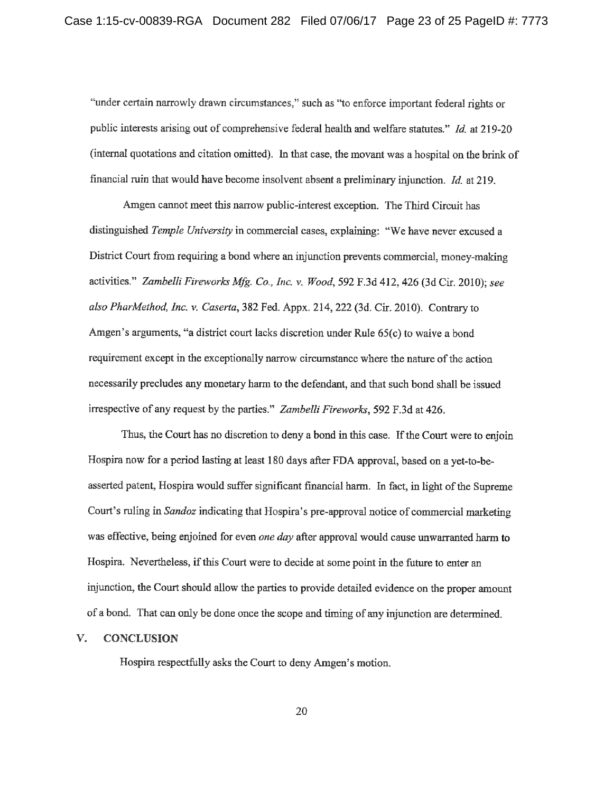"under certain narrowly drawn circumstances," such as "to enforce important federal rights or public interests arising out of comprehensive federal health and welfare statutes." Id. at 219-20 (internal quotations and citation omitted). In that case, the movant was a hospital on the brink of financial ruin that would have become insolvent absent a preliminary injunction. Id. at 219.

Amgen cannot meet this narrow public-interest exception. The Third Circuit has distinguished Temple University in commercial cases, explaining: "We have never excused a District Court from requiring a bond where an injunction prevents commercial, money-making activities." Zambelli Fireworks Mfg. Co., Inc. v. Wood, 592 F.3d 412, 426 (3d Cir. 2010): see also PharMethod, Inc. v. Caserta, 382 Fed. Appx. 214, 222 (3d. Cir. 2010). Contrary to Amgen's arguments, "a district court lacks discretion under Rule 65(c) to waive a bond requirement except in the exceptionally narrow circumstance where the nature of the action necessarily precludes any monetary harm to the defendant, and that such bond shall be issued irrespective of any request by the parties." Zambelli Fireworks, 592 F.3d at 426.

Thus, the Court has no discretion to deny a bond in this case. If the Court were to enjoin Hospira now for a period lasting at least 180 days after FDA approval, based on a yet-to-beasserted patent, Hospira would suffer significant financial harm. In fact, in light of the Supreme Court's ruling in Sandoz indicating that Hospira's pre-approval notice of commercial marketing was effective, being enjoined for even one day after approval would cause unwarranted harm to Hospira. Nevertheless, if this Court were to decide at some point in the future to enter an injunction, the Court should allow the parties to provide detailed evidence on the proper amount of a bond. That can only be done once the scope and timing of any injunction are determined.

#### $V_{\cdot}$ **CONCLUSION**

Hospira respectfully asks the Court to deny Amgen's motion.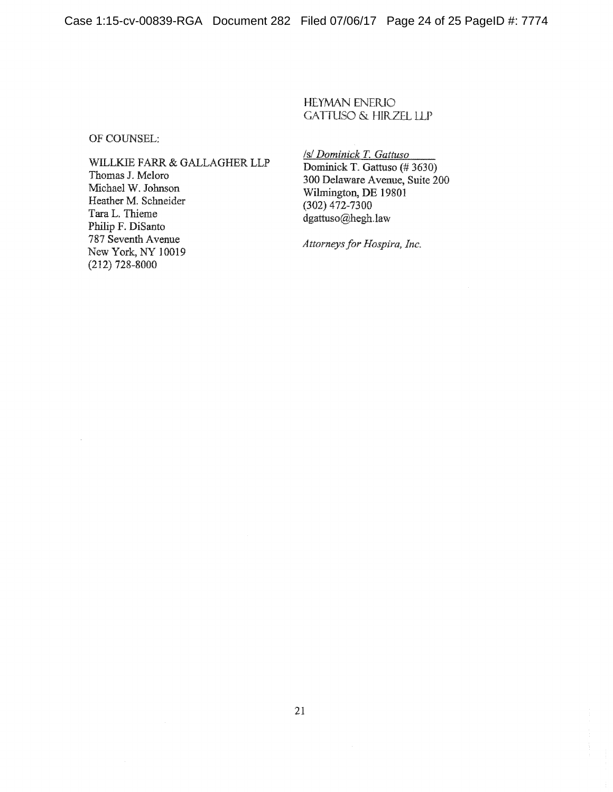Case 1:15-cv-00839-RGA Document 282 Filed 07/06/17 Page 24 of 25 PageID #: 7774

**HEYMAN ENERIO GATTUSO & HIRZEL LLP** 

OF COUNSEL:

WILLKIE FARR & GALLAGHER LLP Thomas J. Meloro Michael W. Johnson Heather M. Schneider Tara L. Thieme Philip F. DiSanto 787 Seventh Avenue New York, NY 10019  $(212)$  728-8000

/s/ Dominick T. Gattuso

Dominick T. Gattuso (#3630) 300 Delaware Avenue, Suite 200 Wilmington, DE 19801  $(302)$  472-7300 dgattuso@hegh.law

Attorneys for Hospira, Inc.